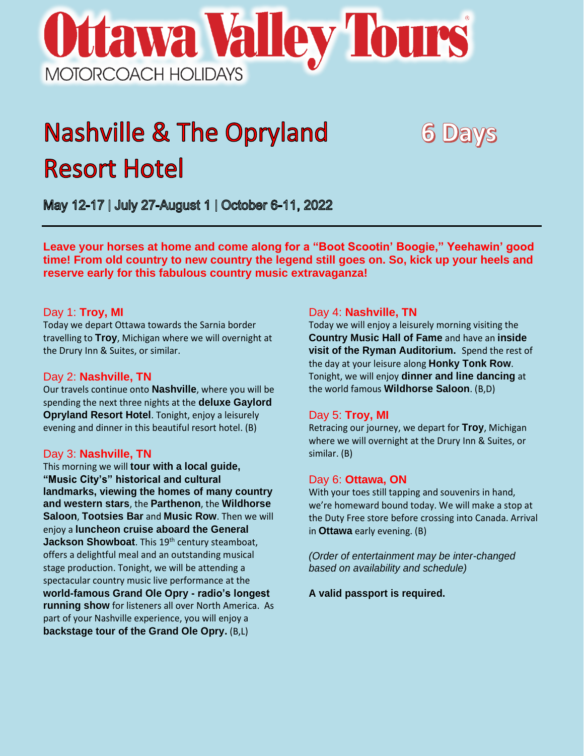# **Ottawa Valley Tours** MOTORCOACH HOLIDAYS

## **Nashville & The Opryland Resort Hotel**

May 12-17 | July 27-August 1 | October 6-11, 2022

**Leave your horses at home and come along for a "Boot Scootin' Boogie," Yeehawin' good time! From old country to new country the legend still goes on. So, kick up your heels and reserve early for this fabulous country music extravaganza!** 

#### Day 1: **Troy, MI**

Today we depart Ottawa towards the Sarnia border travelling to **Troy**, Michigan where we will overnight at the Drury Inn & Suites, or similar.

#### Day 2: **Nashville, TN**

Our travels continue onto **Nashville**, where you will be spending the next three nights at the **deluxe Gaylord Opryland Resort Hotel**. Tonight, enjoy a leisurely evening and dinner in this beautiful resort hotel. (B)

#### Day 3: **Nashville, TN**

This morning we will **tour with a local guide, "Music City's" historical and cultural landmarks, viewing the homes of many country and western stars**, the **Parthenon**, the **Wildhorse Saloon**, **Tootsies Bar** and **Music Row**. Then we will enjoy a **luncheon cruise aboard the General**  Jackson Showboat. This 19<sup>th</sup> century steamboat, offers a delightful meal and an outstanding musical stage production. Tonight, we will be attending a spectacular country music live performance at the **world-famous Grand Ole Opry - radio's longest running show** for listeners all over North America. As part of your Nashville experience, you will enjoy a **backstage tour of the Grand Ole Opry.** (B,L)

#### Day 4: **Nashville, TN**

Today we will enjoy a leisurely morning visiting the **Country Music Hall of Fame** and have an **inside visit of the Ryman Auditorium.** Spend the rest of the day at your leisure along **Honky Tonk Row**. Tonight, we will enjoy **dinner and line dancing** at the world famous **Wildhorse Saloon**. (B,D)

**6 Days** 

#### Day 5: **Troy, MI**

Retracing our journey, we depart for **Troy**, Michigan where we will overnight at the Drury Inn & Suites, or similar. (B)

#### Day 6: **Ottawa, ON**

With your toes still tapping and souvenirs in hand, we're homeward bound today. We will make a stop at the Duty Free store before crossing into Canada. Arrival in **Ottawa** early evening. (B)

*(Order of entertainment may be inter-changed based on availability and schedule)*

**A valid passport is required.**